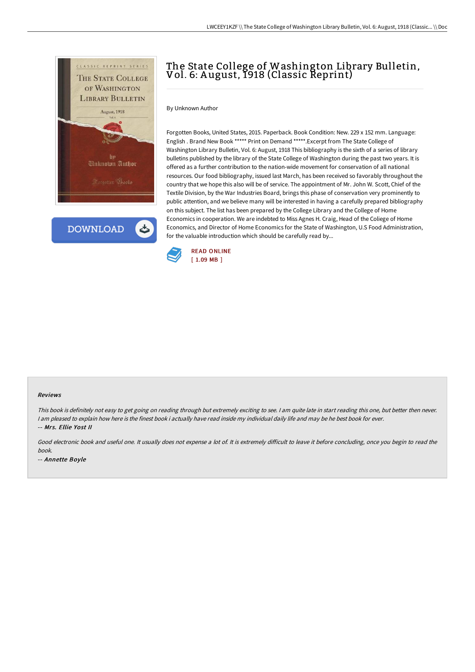

**DOWNLOAD** 

# The State College of Washington Library Bulletin, Vol. 6: A ugust, 1918 (Classic Reprint)

By Unknown Author

Forgotten Books, United States, 2015. Paperback. Book Condition: New. 229 x 152 mm. Language: English . Brand New Book \*\*\*\*\* Print on Demand \*\*\*\*\*.Excerpt from The State College of Washington Library Bulletin, Vol. 6: August, 1918 This bibliography is the sixth of a series of library bulletins published by the library of the State College of Washington during the past two years. It is offered as a further contribution to the nation-wide movement for conservation of all national resources. Our food bibliography, issued last March, has been received so favorably throughout the country that we hope this also will be of service. The appointment of Mr. John W. Scott, Chief of the Textile Division, by the War Industries Board, brings this phase of conservation very prominently to public attention, and we believe many will be interested in having a carefully prepared bibliography on this subject. The list has been prepared by the College Library and the College of Home Economics in cooperation. We are indebted to Miss Agnes H. Craig, Head of the Coliege of Home Economics, and Director of Home Economics for the State of Washington, U.S Food Administration, for the valuable introduction which should be carefully read by...



#### Reviews

This book is definitely not easy to get going on reading through but extremely exciting to see. <sup>I</sup> am quite late in start reading this one, but better then never. I am pleased to explain how here is the finest book i actually have read inside my individual daily life and may be he best book for ever. -- Mrs. Ellie Yost II

Good electronic book and useful one. It usually does not expense a lot of. It is extremely difficult to leave it before concluding, once you begin to read the book.

-- Annette Boyle